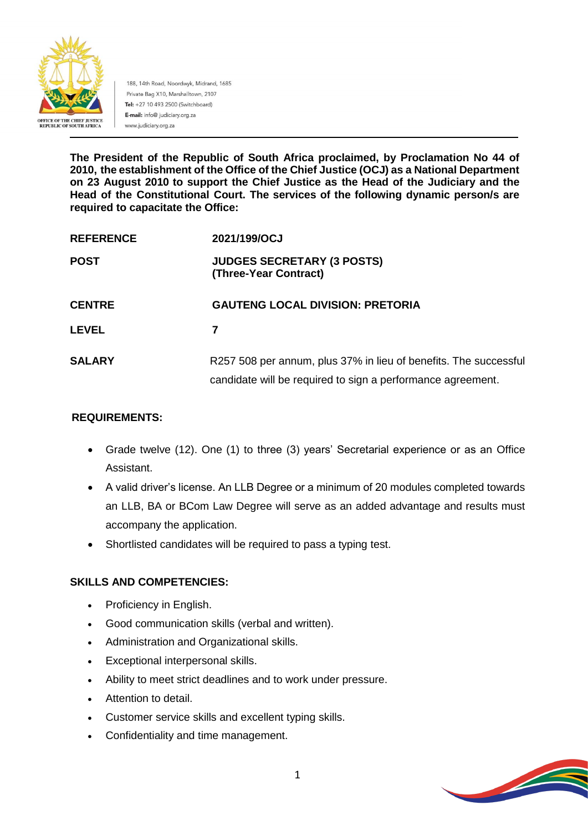

188, 14th Road, Noordwyk, Midrand, 1685 Private Bag X10, Marshalltown, 2107 Tel: +27 10 493 2500 (Switchboard) E-mail: info@ judiciary.org.za www.judiciary.org.za

**The President of the Republic of South Africa proclaimed, by Proclamation No 44 of 2010, the establishment of the Office of the Chief Justice (OCJ) as a National Department on 23 August 2010 to support the Chief Justice as the Head of the Judiciary and the Head of the Constitutional Court. The services of the following dynamic person/s are required to capacitate the Office:**

| <b>REFERENCE</b> | 2021/199/OCJ                                                                                                                    |
|------------------|---------------------------------------------------------------------------------------------------------------------------------|
| <b>POST</b>      | <b>JUDGES SECRETARY (3 POSTS)</b><br>(Three-Year Contract)                                                                      |
| <b>CENTRE</b>    | <b>GAUTENG LOCAL DIVISION: PRETORIA</b>                                                                                         |
| <b>LEVEL</b>     | 7                                                                                                                               |
| <b>SALARY</b>    | R257 508 per annum, plus 37% in lieu of benefits. The successful<br>candidate will be required to sign a performance agreement. |

#### **REQUIREMENTS:**

- Grade twelve (12). One (1) to three (3) years' Secretarial experience or as an Office Assistant.
- A valid driver's license. An LLB Degree or a minimum of 20 modules completed towards an LLB, BA or BCom Law Degree will serve as an added advantage and results must accompany the application.
- Shortlisted candidates will be required to pass a typing test.

#### **SKILLS AND COMPETENCIES:**

- Proficiency in English.
- Good communication skills (verbal and written).
- Administration and Organizational skills.
- Exceptional interpersonal skills.
- Ability to meet strict deadlines and to work under pressure.
- Attention to detail.
- Customer service skills and excellent typing skills.
- Confidentiality and time management.

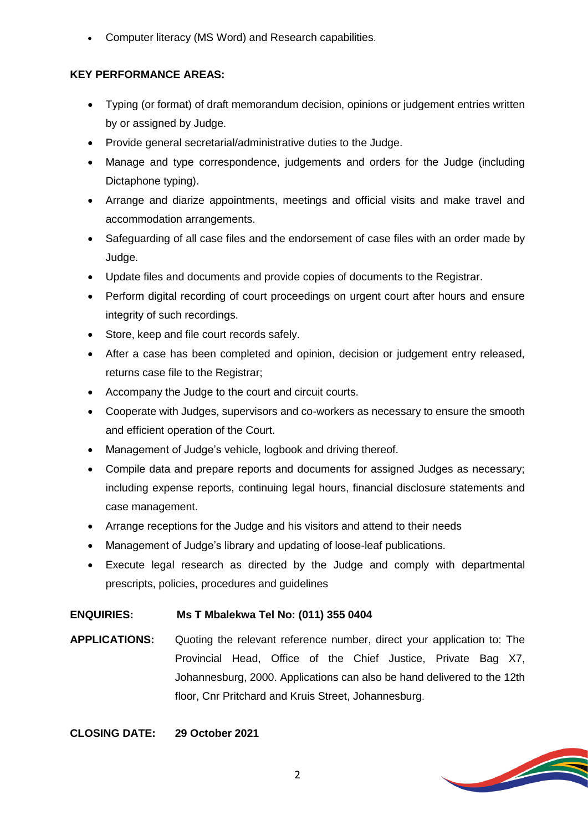Computer literacy (MS Word) and Research capabilities.

### **KEY PERFORMANCE AREAS:**

- Typing (or format) of draft memorandum decision, opinions or judgement entries written by or assigned by Judge.
- Provide general secretarial/administrative duties to the Judge.
- Manage and type correspondence, judgements and orders for the Judge (including Dictaphone typing).
- Arrange and diarize appointments, meetings and official visits and make travel and accommodation arrangements.
- Safeguarding of all case files and the endorsement of case files with an order made by Judge.
- Update files and documents and provide copies of documents to the Registrar.
- Perform digital recording of court proceedings on urgent court after hours and ensure integrity of such recordings.
- Store, keep and file court records safely.
- After a case has been completed and opinion, decision or judgement entry released, returns case file to the Registrar;
- Accompany the Judge to the court and circuit courts.
- Cooperate with Judges, supervisors and co-workers as necessary to ensure the smooth and efficient operation of the Court.
- Management of Judge's vehicle, logbook and driving thereof.
- Compile data and prepare reports and documents for assigned Judges as necessary; including expense reports, continuing legal hours, financial disclosure statements and case management.
- Arrange receptions for the Judge and his visitors and attend to their needs
- Management of Judge's library and updating of loose-leaf publications.
- Execute legal research as directed by the Judge and comply with departmental prescripts, policies, procedures and guidelines

## **ENQUIRIES: Ms T Mbalekwa Tel No: (011) 355 0404**

**APPLICATIONS:** Quoting the relevant reference number, direct your application to: The Provincial Head, Office of the Chief Justice, Private Bag X7, Johannesburg, 2000. Applications can also be hand delivered to the 12th floor, Cnr Pritchard and Kruis Street, Johannesburg.

## **CLOSING DATE: 29 October 2021**